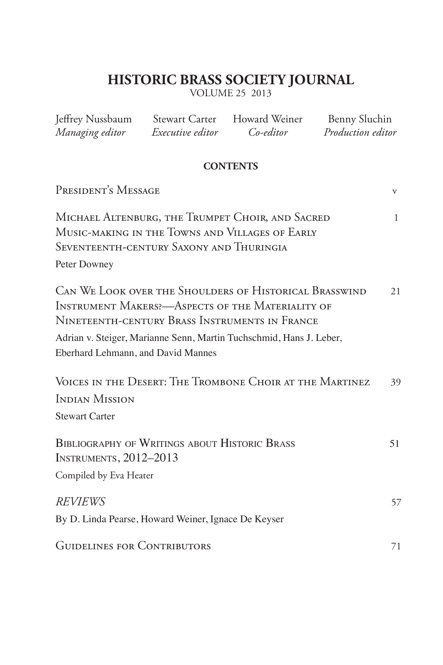### **HISTORIC BRASS SOCIETY JOURNAL**

VOLUME 25 2013

| Jeffrey Nussbaum Stewart Carter Howard Weiner<br>Managing editor                                                                                                                                                                                                                   | <i>Executive editor</i> | Co-editor       | Benny Sluchin<br>Production editor |              |
|------------------------------------------------------------------------------------------------------------------------------------------------------------------------------------------------------------------------------------------------------------------------------------|-------------------------|-----------------|------------------------------------|--------------|
|                                                                                                                                                                                                                                                                                    |                         | <b>CONTENTS</b> |                                    |              |
| PRESIDENT'S MESSAGE                                                                                                                                                                                                                                                                |                         |                 |                                    | V            |
| MICHAEL ALTENBURG, THE TRUMPET CHOIR, AND SACRED<br>MUSIC-MAKING IN THE TOWNS AND VILLAGES OF EARLY<br>SEVENTEENTH-CENTURY SAXONY AND THURINGIA<br>Peter Downey                                                                                                                    |                         |                 |                                    | $\mathbf{1}$ |
| CAN WE LOOK OVER THE SHOULDERS OF HISTORICAL BRASSWIND<br><b>INSTRUMENT MAKERS:</b> - ASPECTS OF THE MATERIALITY OF<br>NINETEENTH-CENTURY BRASS INSTRUMENTS IN FRANCE<br>Adrian v. Steiger, Marianne Senn, Martin Tuchschmid, Hans J. Leber,<br>Eberhard Lehmann, and David Mannes |                         |                 |                                    | 21           |
| VOICES IN THE DESERT: THE TROMBONE CHOIR AT THE MARTINEZ<br><b>INDIAN MISSION</b><br><b>Stewart Carter</b>                                                                                                                                                                         |                         |                 |                                    | 39           |
| <b>BIBLIOGRAPHY OF WRITINGS ABOUT HISTORIC BRASS</b><br><b>INSTRUMENTS, 2012-2013</b><br>Compiled by Eva Heater                                                                                                                                                                    |                         |                 |                                    | 51           |
| <b>REVIEWS</b><br>By D. Linda Pearse, Howard Weiner, Ignace De Keyser                                                                                                                                                                                                              |                         |                 |                                    | 57           |
| <b>GUIDELINES FOR CONTRIBUTORS</b>                                                                                                                                                                                                                                                 |                         |                 |                                    | 71           |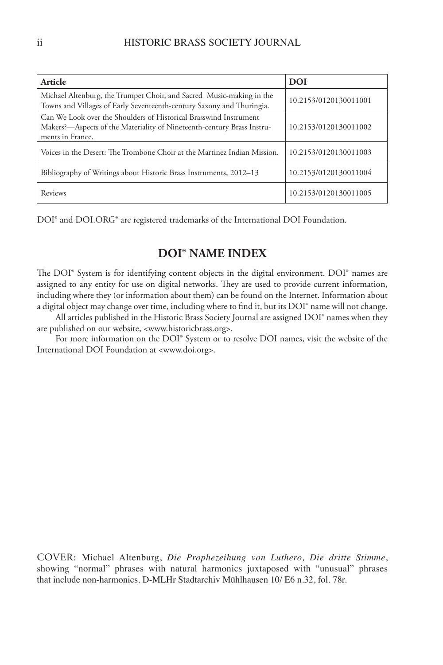| Article                                                                                                                                                         | <b>DOI</b>            |
|-----------------------------------------------------------------------------------------------------------------------------------------------------------------|-----------------------|
| Michael Altenburg, the Trumpet Choir, and Sacred Music-making in the<br>Towns and Villages of Early Seventeenth-century Saxony and Thuringia.                   | 10.2153/0120130011001 |
| Can We Look over the Shoulders of Historical Brasswind Instrument<br>Makers?—Aspects of the Materiality of Nineteenth-century Brass Instru-<br>ments in France. | 10.2153/0120130011002 |
| Voices in the Desert: The Trombone Choir at the Martinez Indian Mission.                                                                                        | 10.2153/0120130011003 |
| Bibliography of Writings about Historic Brass Instruments, 2012–13                                                                                              | 10.2153/0120130011004 |
| Reviews                                                                                                                                                         | 10.2153/0120130011005 |

DOI® and DOI.ORG® are registered trademarks of the International DOI Foundation.

#### **DOI® NAME INDEX**

The DOI® System is for identifying content objects in the digital environment. DOI® names are assigned to any entity for use on digital networks. They are used to provide current information, including where they (or information about them) can be found on the Internet. Information about a digital object may change over time, including where to find it, but its DOI® name will not change.

All articles published in the Historic Brass Society Journal are assigned DOI® names when they are published on our website, <www.historicbrass.org>.

For more information on the DOI® System or to resolve DOI names, visit the website of the International DOI Foundation at <www.doi.org>.

COVER: Michael Altenburg, *Die Prophezeihung von Luthero, Die dritte Stimme*, showing "normal" phrases with natural harmonics juxtaposed with "unusual" phrases that include non-harmonics. D-MLHr Stadtarchiv Mühlhausen 10/ E6 n.32, fol. 78r.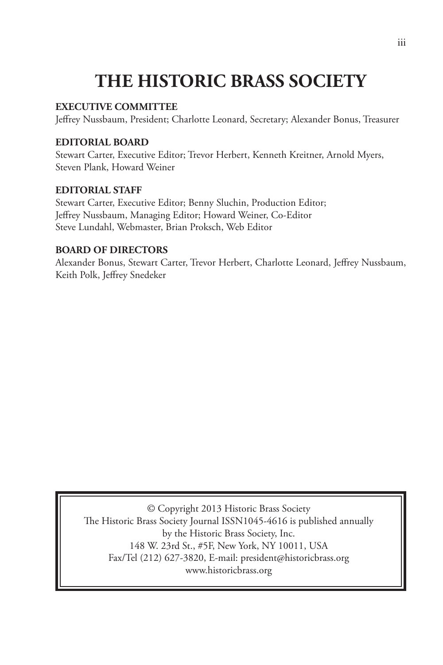# **THE HISTORIC BRASS SOCIETY**

#### **EXECUTIVE COMMITTEE**

Jeffrey Nussbaum, President; Charlotte Leonard, Secretary; Alexander Bonus, Treasurer

#### **EDITORIAL BOARD**

Stewart Carter, Executive Editor; Trevor Herbert, Kenneth Kreitner, Arnold Myers, Steven Plank, Howard Weiner

#### **EDITORIAL STAFF**

Stewart Carter, Executive Editor; Benny Sluchin, Production Editor; Jeffrey Nussbaum, Managing Editor; Howard Weiner, Co-Editor Steve Lundahl, Webmaster, Brian Proksch, Web Editor

#### **BOARD OF DIRECTORS**

Alexander Bonus, Stewart Carter, Trevor Herbert, Charlotte Leonard, Jeffrey Nussbaum, Keith Polk, Jeffrey Snedeker

© Copyright 2013 Historic Brass Society The Historic Brass Society Journal ISSN1045-4616 is published annually by the Historic Brass Society, Inc. 148 W. 23rd St., #5F, New York, NY 10011, USA Fax/Tel (212) 627-3820, E-mail: president@historicbrass.org www.historicbrass.org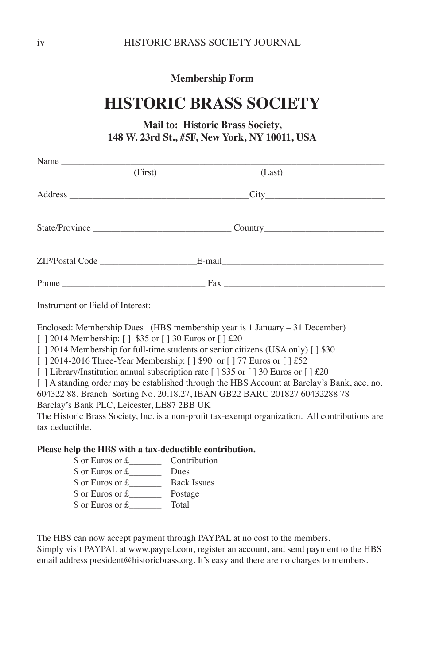**Membership Form**

# **HISTORIC BRASS SOCIETY**

#### **Mail to: Historic Brass Society, 148 W. 23rd St., #5F, New York, NY 10011, USA**

|                                                                                                                                                                                                   | (First)                                                      | (Last)                                                                                                                                                                                                                                                                                                                                                                                                                                                                                                                                                 |
|---------------------------------------------------------------------------------------------------------------------------------------------------------------------------------------------------|--------------------------------------------------------------|--------------------------------------------------------------------------------------------------------------------------------------------------------------------------------------------------------------------------------------------------------------------------------------------------------------------------------------------------------------------------------------------------------------------------------------------------------------------------------------------------------------------------------------------------------|
|                                                                                                                                                                                                   |                                                              |                                                                                                                                                                                                                                                                                                                                                                                                                                                                                                                                                        |
|                                                                                                                                                                                                   |                                                              |                                                                                                                                                                                                                                                                                                                                                                                                                                                                                                                                                        |
|                                                                                                                                                                                                   |                                                              |                                                                                                                                                                                                                                                                                                                                                                                                                                                                                                                                                        |
|                                                                                                                                                                                                   |                                                              |                                                                                                                                                                                                                                                                                                                                                                                                                                                                                                                                                        |
|                                                                                                                                                                                                   |                                                              |                                                                                                                                                                                                                                                                                                                                                                                                                                                                                                                                                        |
| [] 2014 Membership: [] \$35 or [] 30 Euros or [] £20<br>[   2014-2016 Three-Year Membership: [ ] \$90 or [ ] 77 Euros or [ ] £52<br>Barclay's Bank PLC, Leicester, LE87 2BB UK<br>tax deductible. |                                                              | Enclosed: Membership Dues (HBS membership year is $1$ January $-31$ December)<br>[] 2014 Membership for full-time students or senior citizens (USA only) [] \$30<br>[ ] Library/Institution annual subscription rate [ ] \$35 or [ ] 30 Euros or [ ] $\text{\pounds}20$<br>[ ] A standing order may be established through the HBS Account at Barclay's Bank, acc. no.<br>604322 88, Branch Sorting No. 20.18.27, IBAN GB22 BARC 201827 60432288 78<br>The Historic Brass Society, Inc. is a non-profit tax-exempt organization. All contributions are |
| Please help the HBS with a tax-deductible contribution.                                                                                                                                           |                                                              |                                                                                                                                                                                                                                                                                                                                                                                                                                                                                                                                                        |
|                                                                                                                                                                                                   |                                                              |                                                                                                                                                                                                                                                                                                                                                                                                                                                                                                                                                        |
|                                                                                                                                                                                                   | $\int \alpha r \, \text{Eurge} \, \alpha r \, \text{f}$ Dues |                                                                                                                                                                                                                                                                                                                                                                                                                                                                                                                                                        |

\$ or Euros or £\_\_\_\_\_\_\_ Dues \$ or Euros or £\_\_\_\_\_\_\_ Back Issues \$ or Euros or £\_\_\_\_\_\_\_ Postage \$ or Euros or £\_\_\_\_\_\_\_ Total

The HBS can now accept payment through PAYPAL at no cost to the members.

Simply visit PAYPAL at www.paypal.com, register an account, and send payment to the HBS email address president@historicbrass.org. It's easy and there are no charges to members.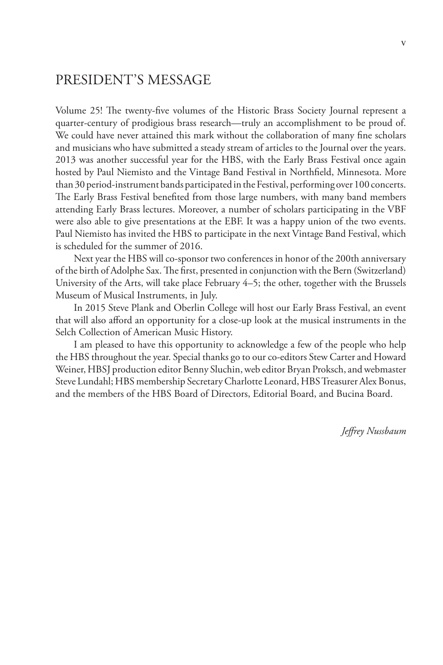### PRESIDENT'S MESSAGE

Volume 25! The twenty-five volumes of the Historic Brass Society Journal represent a quarter-century of prodigious brass research—truly an accomplishment to be proud of. We could have never attained this mark without the collaboration of many fine scholars and musicians who have submitted a steady stream of articles to the Journal over the years. 2013 was another successful year for the HBS, with the Early Brass Festival once again hosted by Paul Niemisto and the Vintage Band Festival in Northfield, Minnesota. More than 30 period-instrument bands participated in the Festival, performing over 100 concerts. The Early Brass Festival benefited from those large numbers, with many band members attending Early Brass lectures. Moreover, a number of scholars participating in the VBF were also able to give presentations at the EBF. It was a happy union of the two events. Paul Niemisto has invited the HBS to participate in the next Vintage Band Festival, which is scheduled for the summer of 2016.

Next year the HBS will co-sponsor two conferences in honor of the 200th anniversary of the birth of Adolphe Sax. The first, presented in conjunction with the Bern (Switzerland) University of the Arts, will take place February 4–5; the other, together with the Brussels Museum of Musical Instruments, in July.

In 2015 Steve Plank and Oberlin College will host our Early Brass Festival, an event that will also afford an opportunity for a close-up look at the musical instruments in the Selch Collection of American Music History.

I am pleased to have this opportunity to acknowledge a few of the people who help the HBS throughout the year. Special thanks go to our co-editors Stew Carter and Howard Weiner, HBSJ production editor Benny Sluchin, web editor Bryan Proksch, and webmaster Steve Lundahl; HBS membership Secretary Charlotte Leonard, HBS Treasurer Alex Bonus, and the members of the HBS Board of Directors, Editorial Board, and Bucina Board.

*Jeffrey Nussbaum*